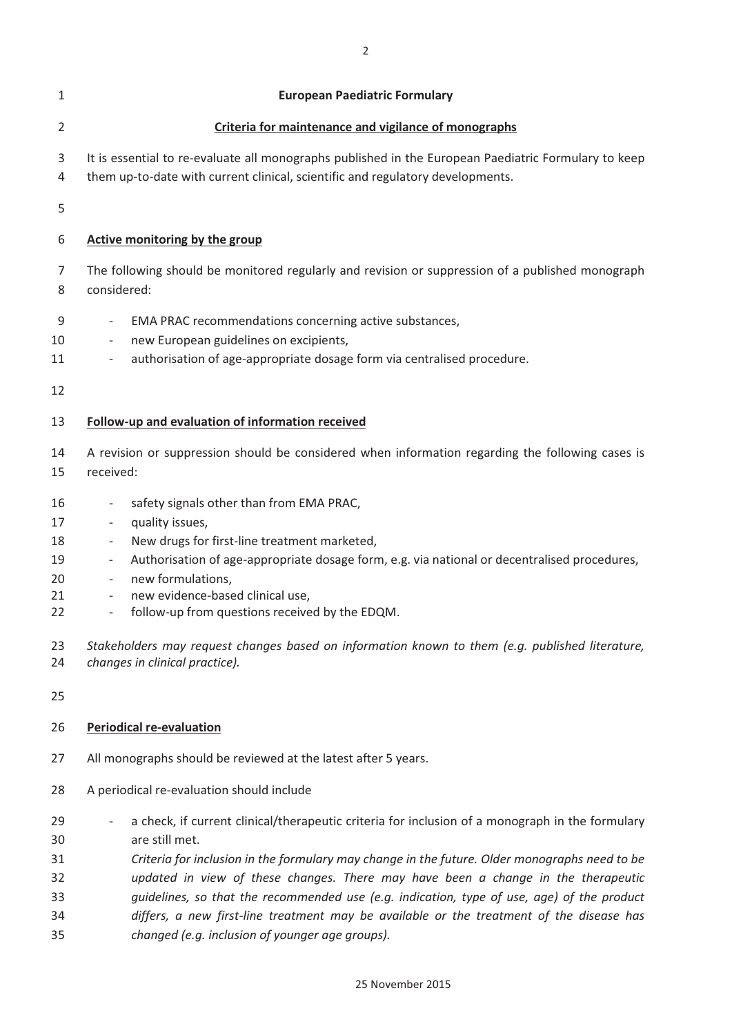| 1                                      | <b>European Paediatric Formulary</b>                                                                                                                                                                                                                                                                                                                                                                                                                                                                                           |
|----------------------------------------|--------------------------------------------------------------------------------------------------------------------------------------------------------------------------------------------------------------------------------------------------------------------------------------------------------------------------------------------------------------------------------------------------------------------------------------------------------------------------------------------------------------------------------|
| $\overline{2}$                         | Criteria for maintenance and vigilance of monographs                                                                                                                                                                                                                                                                                                                                                                                                                                                                           |
| 3<br>4                                 | It is essential to re-evaluate all monographs published in the European Paediatric Formulary to keep<br>them up-to-date with current clinical, scientific and regulatory developments.                                                                                                                                                                                                                                                                                                                                         |
| 5                                      |                                                                                                                                                                                                                                                                                                                                                                                                                                                                                                                                |
| 6                                      | Active monitoring by the group                                                                                                                                                                                                                                                                                                                                                                                                                                                                                                 |
| 7<br>8                                 | The following should be monitored regularly and revision or suppression of a published monograph<br>considered:                                                                                                                                                                                                                                                                                                                                                                                                                |
| 9<br>10<br>11<br>12                    | EMA PRAC recommendations concerning active substances,<br>$\overline{\phantom{a}}$<br>new European guidelines on excipients,<br>authorisation of age-appropriate dosage form via centralised procedure.<br>$\overline{\phantom{a}}$                                                                                                                                                                                                                                                                                            |
| 13                                     | Follow-up and evaluation of information received                                                                                                                                                                                                                                                                                                                                                                                                                                                                               |
| 14<br>15                               | A revision or suppression should be considered when information regarding the following cases is<br>received:                                                                                                                                                                                                                                                                                                                                                                                                                  |
| 16<br>17<br>18<br>19<br>20<br>21<br>22 | safety signals other than from EMA PRAC,<br>$\qquad \qquad \blacksquare$<br>quality issues,<br>$\overline{\phantom{a}}$<br>New drugs for first-line treatment marketed,<br>$\overline{\phantom{a}}$<br>Authorisation of age-appropriate dosage form, e.g. via national or decentralised procedures,<br>$\overline{\phantom{a}}$<br>new formulations,<br>$\overline{\phantom{a}}$<br>new evidence-based clinical use,<br>$\overline{\phantom{a}}$<br>follow-up from questions received by the EDQM.<br>$\overline{\phantom{a}}$ |
| 23<br>24                               | Stakeholders may request changes based on information known to them (e.g. published literature,<br>changes in clinical practice).                                                                                                                                                                                                                                                                                                                                                                                              |
| 25                                     |                                                                                                                                                                                                                                                                                                                                                                                                                                                                                                                                |
| 26                                     | <b>Periodical re-evaluation</b>                                                                                                                                                                                                                                                                                                                                                                                                                                                                                                |
| 27<br>28                               | All monographs should be reviewed at the latest after 5 years.<br>A periodical re-evaluation should include                                                                                                                                                                                                                                                                                                                                                                                                                    |
|                                        |                                                                                                                                                                                                                                                                                                                                                                                                                                                                                                                                |
| 29<br>30<br>31<br>32<br>33             | a check, if current clinical/therapeutic criteria for inclusion of a monograph in the formulary<br>are still met.<br>Criteria for inclusion in the formulary may change in the future. Older monographs need to be<br>updated in view of these changes. There may have been a change in the therapeutic<br>guidelines, so that the recommended use (e.g. indication, type of use, age) of the product                                                                                                                          |
| 34<br>35                               | differs, a new first-line treatment may be available or the treatment of the disease has<br>changed (e.g. inclusion of younger age groups).                                                                                                                                                                                                                                                                                                                                                                                    |